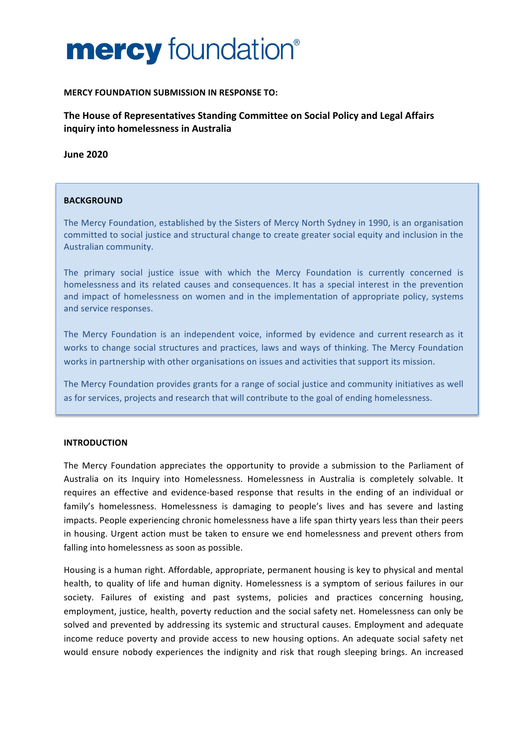# **MERCY FOUNDATION SUBMISSION IN RESPONSE TO:**

The House of Representatives Standing Committee on Social Policy and Legal Affairs **inquiry into homelessness in Australia** 

**June 2020**

# **BACKGROUND**

The Mercy Foundation, established by the Sisters of Mercy North Sydney in 1990, is an organisation committed to social justice and structural change to create greater social equity and inclusion in the Australian community.

The primary social justice issue with which the Mercy Foundation is currently concerned is homelessness and its related causes and consequences. It has a special interest in the prevention and impact of homelessness on women and in the implementation of appropriate policy, systems and service responses.

The Mercy Foundation is an independent voice, informed by evidence and current research as it works to change social structures and practices, laws and ways of thinking. The Mercy Foundation works in partnership with other organisations on issues and activities that support its mission.

The Mercy Foundation provides grants for a range of social justice and community initiatives as well as for services, projects and research that will contribute to the goal of ending homelessness.

# **INTRODUCTION**

The Mercy Foundation appreciates the opportunity to provide a submission to the Parliament of Australia on its Inquiry into Homelessness. Homelessness in Australia is completely solvable. It requires an effective and evidence-based response that results in the ending of an individual or family's homelessness. Homelessness is damaging to people's lives and has severe and lasting impacts. People experiencing chronic homelessness have a life span thirty years less than their peers in housing. Urgent action must be taken to ensure we end homelessness and prevent others from falling into homelessness as soon as possible.

Housing is a human right. Affordable, appropriate, permanent housing is key to physical and mental health, to quality of life and human dignity. Homelessness is a symptom of serious failures in our society. Failures of existing and past systems, policies and practices concerning housing, employment, justice, health, poverty reduction and the social safety net. Homelessness can only be solved and prevented by addressing its systemic and structural causes. Employment and adequate income reduce poverty and provide access to new housing options. An adequate social safety net would ensure nobody experiences the indignity and risk that rough sleeping brings. An increased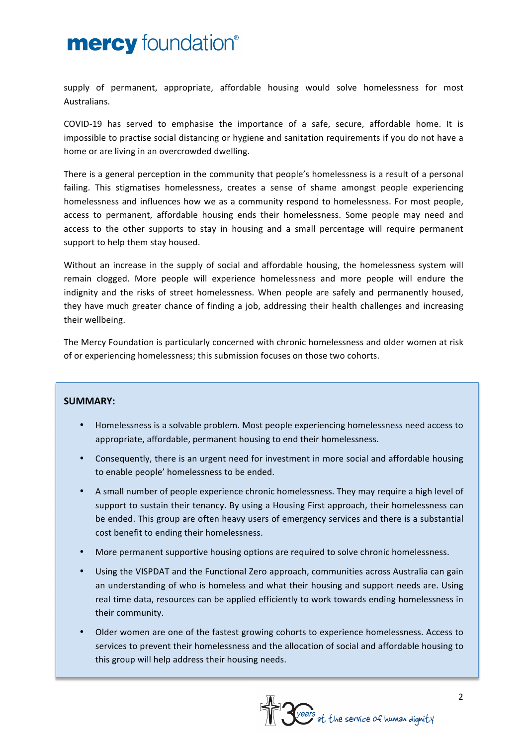supply of permanent, appropriate, affordable housing would solve homelessness for most Australians.

COVID-19 has served to emphasise the importance of a safe, secure, affordable home. It is impossible to practise social distancing or hygiene and sanitation requirements if you do not have a home or are living in an overcrowded dwelling.

There is a general perception in the community that people's homelessness is a result of a personal failing. This stigmatises homelessness, creates a sense of shame amongst people experiencing homelessness and influences how we as a community respond to homelessness. For most people, access to permanent, affordable housing ends their homelessness. Some people may need and access to the other supports to stay in housing and a small percentage will require permanent support to help them stay housed.

Without an increase in the supply of social and affordable housing, the homelessness system will remain clogged. More people will experience homelessness and more people will endure the indignity and the risks of street homelessness. When people are safely and permanently housed, they have much greater chance of finding a job, addressing their health challenges and increasing their wellbeing.

The Mercy Foundation is particularly concerned with chronic homelessness and older women at risk of or experiencing homelessness; this submission focuses on those two cohorts.

# **SUMMARY:**

- Homelessness is a solvable problem. Most people experiencing homelessness need access to appropriate, affordable, permanent housing to end their homelessness.
- Consequently, there is an urgent need for investment in more social and affordable housing to enable people' homelessness to be ended.
- A small number of people experience chronic homelessness. They may require a high level of support to sustain their tenancy. By using a Housing First approach, their homelessness can be ended. This group are often heavy users of emergency services and there is a substantial cost benefit to ending their homelessness.
- More permanent supportive housing options are required to solve chronic homelessness.
- Using the VISPDAT and the Functional Zero approach, communities across Australia can gain an understanding of who is homeless and what their housing and support needs are. Using real time data, resources can be applied efficiently to work towards ending homelessness in their community.
- Older women are one of the fastest growing cohorts to experience homelessness. Access to services to prevent their homelessness and the allocation of social and affordable housing to this group will help address their housing needs.

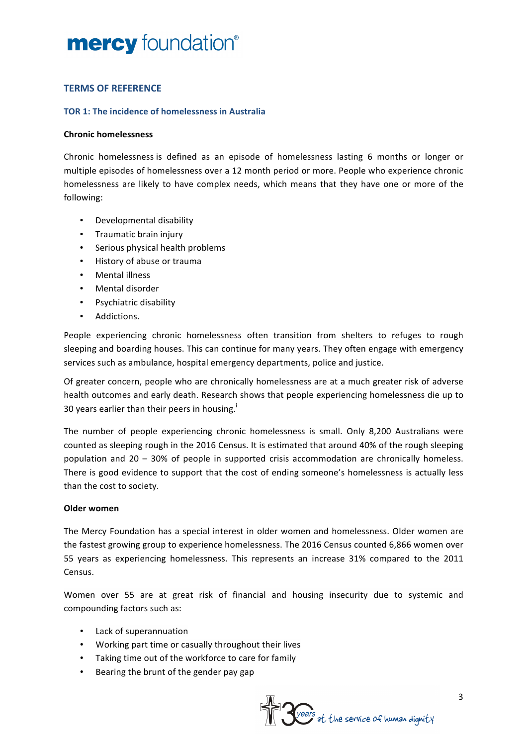# **TERMS OF REFERENCE**

# **TOR 1: The incidence of homelessness in Australia**

# **Chronic homelessness**

Chronic homelessness is defined as an episode of homelessness lasting 6 months or longer or multiple episodes of homelessness over a 12 month period or more. People who experience chronic homelessness are likely to have complex needs, which means that they have one or more of the following:

- Developmental disability
- Traumatic brain injury
- Serious physical health problems
- History of abuse or trauma
- Mental illness
- Mental disorder
- Psychiatric disability
- Addictions.

People experiencing chronic homelessness often transition from shelters to refuges to rough sleeping and boarding houses. This can continue for many years. They often engage with emergency services such as ambulance, hospital emergency departments, police and justice.

Of greater concern, people who are chronically homelessness are at a much greater risk of adverse health outcomes and early death. Research shows that people experiencing homelessness die up to 30 years earlier than their peers in housing.<sup>1</sup>

The number of people experiencing chronic homelessness is small. Only 8,200 Australians were counted as sleeping rough in the 2016 Census. It is estimated that around 40% of the rough sleeping population and  $20 - 30\%$  of people in supported crisis accommodation are chronically homeless. There is good evidence to support that the cost of ending someone's homelessness is actually less than the cost to society.

# **Older women**

The Mercy Foundation has a special interest in older women and homelessness. Older women are the fastest growing group to experience homelessness. The 2016 Census counted 6,866 women over 55 years as experiencing homelessness. This represents an increase 31% compared to the 2011 Census. 

Women over 55 are at great risk of financial and housing insecurity due to systemic and compounding factors such as:

- Lack of superannuation
- Working part time or casually throughout their lives
- Taking time out of the workforce to care for family
- Bearing the brunt of the gender pay gap

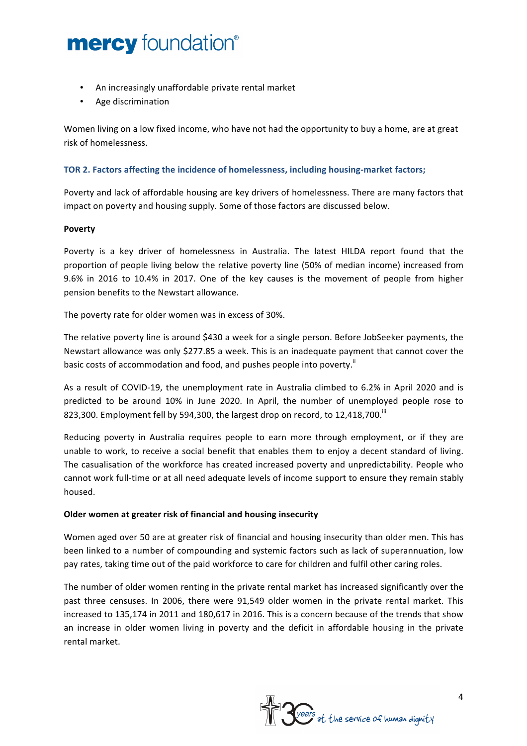- An increasingly unaffordable private rental market
- Age discrimination

Women living on a low fixed income, who have not had the opportunity to buy a home, are at great risk of homelessness. 

# **TOR 2. Factors affecting the incidence of homelessness, including housing-market factors;**

Poverty and lack of affordable housing are key drivers of homelessness. There are many factors that impact on poverty and housing supply. Some of those factors are discussed below.

# **Poverty**

Poverty is a key driver of homelessness in Australia. The latest HILDA report found that the proportion of people living below the relative poverty line (50% of median income) increased from 9.6% in 2016 to 10.4% in 2017. One of the key causes is the movement of people from higher pension benefits to the Newstart allowance.

The poverty rate for older women was in excess of 30%.

The relative poverty line is around \$430 a week for a single person. Before JobSeeker payments, the Newstart allowance was only \$277.85 a week. This is an inadequate payment that cannot cover the basic costs of accommodation and food, and pushes people into poverty.<sup>ii</sup>

As a result of COVID-19, the unemployment rate in Australia climbed to 6.2% in April 2020 and is predicted to be around 10% in June 2020. In April, the number of unemployed people rose to 823,300. Employment fell by 594,300, the largest drop on record, to 12,418,700.<sup>iii</sup>

Reducing poverty in Australia requires people to earn more through employment, or if they are unable to work, to receive a social benefit that enables them to enjoy a decent standard of living. The casualisation of the workforce has created increased poverty and unpredictability. People who cannot work full-time or at all need adequate levels of income support to ensure they remain stably housed. 

# **Older women at greater risk of financial and housing insecurity**

Women aged over 50 are at greater risk of financial and housing insecurity than older men. This has been linked to a number of compounding and systemic factors such as lack of superannuation, low pay rates, taking time out of the paid workforce to care for children and fulfil other caring roles.

The number of older women renting in the private rental market has increased significantly over the past three censuses. In 2006, there were 91,549 older women in the private rental market. This increased to 135,174 in 2011 and 180,617 in 2016. This is a concern because of the trends that show an increase in older women living in poverty and the deficit in affordable housing in the private rental market.

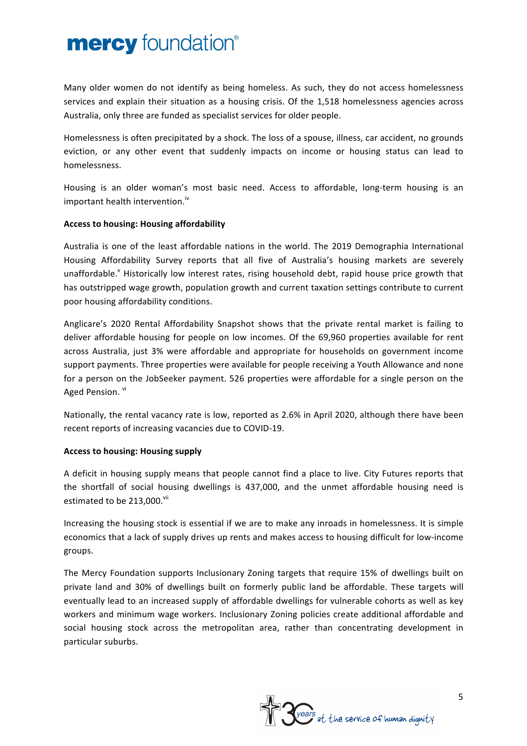Many older women do not identify as being homeless. As such, they do not access homelessness services and explain their situation as a housing crisis. Of the 1,518 homelessness agencies across Australia, only three are funded as specialist services for older people.

Homelessness is often precipitated by a shock. The loss of a spouse, illness, car accident, no grounds eviction, or any other event that suddenly impacts on income or housing status can lead to homelessness. 

Housing is an older woman's most basic need. Access to affordable, long-term housing is an important health intervention.<sup>iv</sup>

# **Access to housing: Housing affordability**

Australia is one of the least affordable nations in the world. The 2019 Demographia International Housing Affordability Survey reports that all five of Australia's housing markets are severely unaffordable. Historically low interest rates, rising household debt, rapid house price growth that has outstripped wage growth, population growth and current taxation settings contribute to current poor housing affordability conditions.

Anglicare's 2020 Rental Affordability Snapshot shows that the private rental market is failing to deliver affordable housing for people on low incomes. Of the 69,960 properties available for rent across Australia, just 3% were affordable and appropriate for households on government income support payments. Three properties were available for people receiving a Youth Allowance and none for a person on the JobSeeker payment. 526 properties were affordable for a single person on the Aged Pension. vi

Nationally, the rental vacancy rate is low, reported as 2.6% in April 2020, although there have been recent reports of increasing vacancies due to COVID-19.

# **Access to housing: Housing supply**

A deficit in housing supply means that people cannot find a place to live. City Futures reports that the shortfall of social housing dwellings is 437,000, and the unmet affordable housing need is estimated to be 213,000.<sup>vii</sup>

Increasing the housing stock is essential if we are to make any inroads in homelessness. It is simple economics that a lack of supply drives up rents and makes access to housing difficult for low-income groups. 

The Mercy Foundation supports Inclusionary Zoning targets that require 15% of dwellings built on private land and 30% of dwellings built on formerly public land be affordable. These targets will eventually lead to an increased supply of affordable dwellings for vulnerable cohorts as well as key workers and minimum wage workers. Inclusionary Zoning policies create additional affordable and social housing stock across the metropolitan area, rather than concentrating development in particular suburbs.

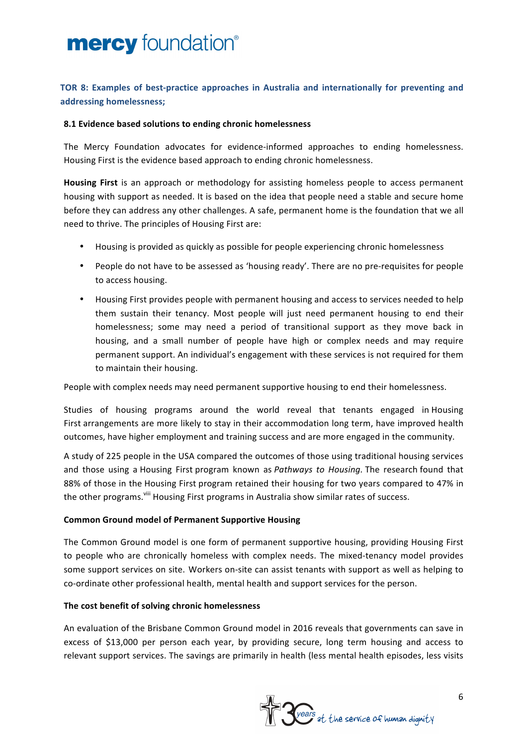# **TOR 8: Examples of best-practice approaches in Australia and internationally for preventing and addressing homelessness;**

# **8.1 Evidence based solutions to ending chronic homelessness**

The Mercy Foundation advocates for evidence-informed approaches to ending homelessness. Housing First is the evidence based approach to ending chronic homelessness.

**Housing First** is an approach or methodology for assisting homeless people to access permanent housing with support as needed. It is based on the idea that people need a stable and secure home before they can address any other challenges. A safe, permanent home is the foundation that we all need to thrive. The principles of Housing First are:

- Housing is provided as quickly as possible for people experiencing chronic homelessness
- People do not have to be assessed as 'housing ready'. There are no pre-requisites for people to access housing.
- Housing First provides people with permanent housing and access to services needed to help them sustain their tenancy. Most people will just need permanent housing to end their homelessness; some may need a period of transitional support as they move back in housing, and a small number of people have high or complex needs and may require permanent support. An individual's engagement with these services is not required for them to maintain their housing.

People with complex needs may need permanent supportive housing to end their homelessness.

Studies of housing programs around the world reveal that tenants engaged in Housing First arrangements are more likely to stay in their accommodation long term, have improved health outcomes, have higher employment and training success and are more engaged in the community.

A study of 225 people in the USA compared the outcomes of those using traditional housing services and those using a Housing First program known as *Pathways* to Housing. The research found that 88% of those in the Housing First program retained their housing for two years compared to 47% in the other programs. <sup>(iii</sup> Housing First programs in Australia show similar rates of success.

# **Common Ground model of Permanent Supportive Housing**

The Common Ground model is one form of permanent supportive housing, providing Housing First to people who are chronically homeless with complex needs. The mixed-tenancy model provides some support services on site. Workers on-site can assist tenants with support as well as helping to co-ordinate other professional health, mental health and support services for the person.

# The cost benefit of solving chronic homelessness

An evaluation of the Brisbane Common Ground model in 2016 reveals that governments can save in excess of \$13,000 per person each year, by providing secure, long term housing and access to relevant support services. The savings are primarily in health (less mental health episodes, less visits

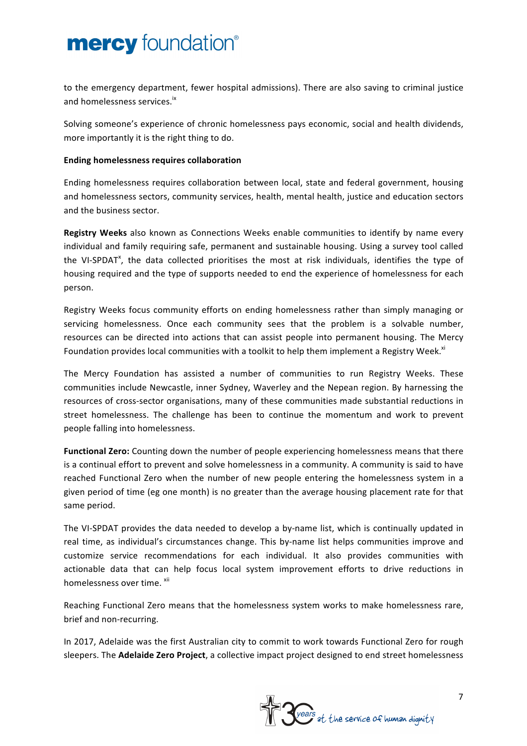to the emergency department, fewer hospital admissions). There are also saving to criminal justice and homelessness services.<sup>ix</sup>

Solving someone's experience of chronic homelessness pays economic, social and health dividends, more importantly it is the right thing to do.

# **Ending homelessness requires collaboration**

Ending homelessness requires collaboration between local, state and federal government, housing and homelessness sectors, community services, health, mental health, justice and education sectors and the business sector.

**Registry Weeks** also known as Connections Weeks enable communities to identify by name every individual and family requiring safe, permanent and sustainable housing. Using a survey tool called the VI-SPDAT<sup>x</sup>, the data collected prioritises the most at risk individuals, identifies the type of housing required and the type of supports needed to end the experience of homelessness for each person. 

Registry Weeks focus community efforts on ending homelessness rather than simply managing or servicing homelessness. Once each community sees that the problem is a solvable number, resources can be directed into actions that can assist people into permanent housing. The Mercy Foundation provides local communities with a toolkit to help them implement a Registry Week.<sup>xi</sup>

The Mercy Foundation has assisted a number of communities to run Registry Weeks. These communities include Newcastle, inner Sydney, Waverley and the Nepean region. By harnessing the resources of cross-sector organisations, many of these communities made substantial reductions in street homelessness. The challenge has been to continue the momentum and work to prevent people falling into homelessness.

**Functional Zero:** Counting down the number of people experiencing homelessness means that there is a continual effort to prevent and solve homelessness in a community. A community is said to have reached Functional Zero when the number of new people entering the homelessness system in a given period of time (eg one month) is no greater than the average housing placement rate for that same period.

The VI-SPDAT provides the data needed to develop a by-name list, which is continually updated in real time, as individual's circumstances change. This by-name list helps communities improve and customize service recommendations for each individual. It also provides communities with actionable data that can help focus local system improvement efforts to drive reductions in homelessness over time. <sup>xii</sup>

Reaching Functional Zero means that the homelessness system works to make homelessness rare, brief and non-recurring.

In 2017, Adelaide was the first Australian city to commit to work towards Functional Zero for rough sleepers. The **Adelaide Zero Project**, a collective impact project designed to end street homelessness

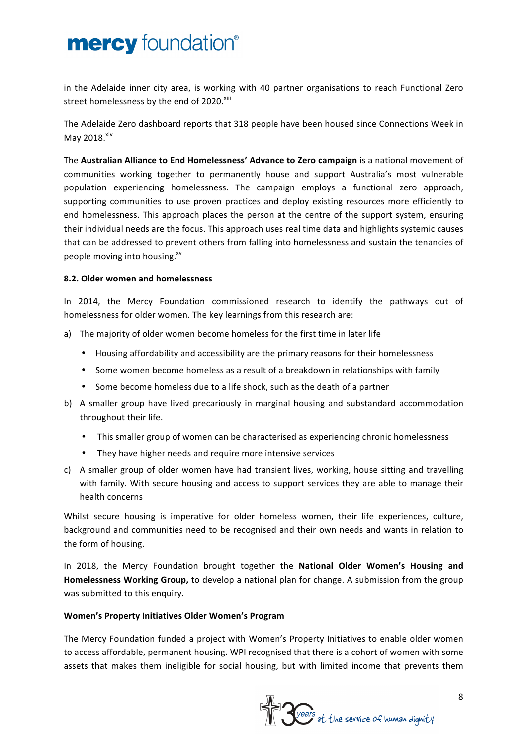in the Adelaide inner city area, is working with 40 partner organisations to reach Functional Zero street homelessness by the end of 2020.<sup>xiii</sup>

The Adelaide Zero dashboard reports that 318 people have been housed since Connections Week in May 2018.<sup>xiv</sup>

The Australian Alliance to End Homelessness' Advance to Zero campaign is a national movement of communities working together to permanently house and support Australia's most vulnerable population experiencing homelessness. The campaign employs a functional zero approach, supporting communities to use proven practices and deploy existing resources more efficiently to end homelessness. This approach places the person at the centre of the support system, ensuring their individual needs are the focus. This approach uses real time data and highlights systemic causes that can be addressed to prevent others from falling into homelessness and sustain the tenancies of people moving into housing.<sup>xv</sup>

# **8.2. Older women and homelessness**

In 2014, the Mercy Foundation commissioned research to identify the pathways out of homelessness for older women. The key learnings from this research are:

- a) The majority of older women become homeless for the first time in later life
	- Housing affordability and accessibility are the primary reasons for their homelessness
	- Some women become homeless as a result of a breakdown in relationships with family
	- Some become homeless due to a life shock, such as the death of a partner
- b) A smaller group have lived precariously in marginal housing and substandard accommodation throughout their life.
	- This smaller group of women can be characterised as experiencing chronic homelessness
	- They have higher needs and require more intensive services
- c) A smaller group of older women have had transient lives, working, house sitting and travelling with family. With secure housing and access to support services they are able to manage their health concerns

Whilst secure housing is imperative for older homeless women, their life experiences, culture, background and communities need to be recognised and their own needs and wants in relation to the form of housing.

In 2018, the Mercy Foundation brought together the National Older Women's Housing and Homelessness Working Group, to develop a national plan for change. A submission from the group was submitted to this enquiry.

# **Women's Property Initiatives Older Women's Program**

The Mercy Foundation funded a project with Women's Property Initiatives to enable older women to access affordable, permanent housing. WPI recognised that there is a cohort of women with some assets that makes them ineligible for social housing, but with limited income that prevents them

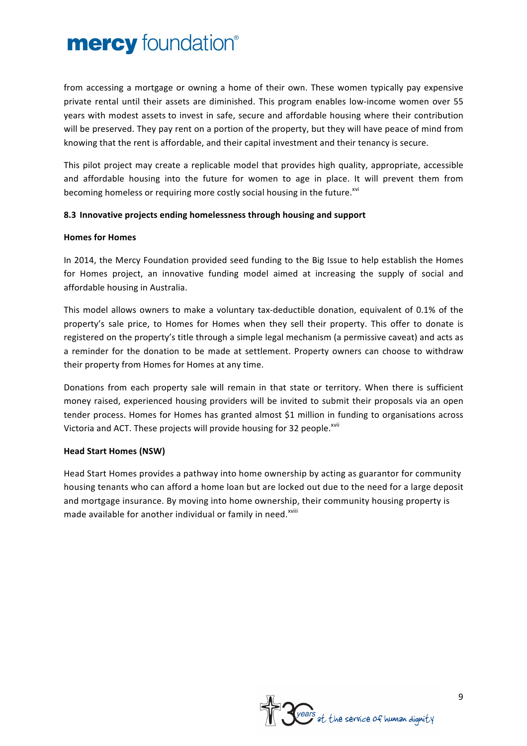from accessing a mortgage or owning a home of their own. These women typically pay expensive private rental until their assets are diminished. This program enables low-income women over 55 years with modest assets to invest in safe, secure and affordable housing where their contribution will be preserved. They pay rent on a portion of the property, but they will have peace of mind from knowing that the rent is affordable, and their capital investment and their tenancy is secure.

This pilot project may create a replicable model that provides high quality, appropriate, accessible and affordable housing into the future for women to age in place. It will prevent them from becoming homeless or requiring more costly social housing in the future.<sup>xvi</sup>

# 8.3 Innovative projects ending homelessness through housing and support

# **Homes for Homes**

In 2014, the Mercy Foundation provided seed funding to the Big Issue to help establish the Homes for Homes project, an innovative funding model aimed at increasing the supply of social and affordable housing in Australia.

This model allows owners to make a voluntary tax-deductible donation, equivalent of 0.1% of the property's sale price, to Homes for Homes when they sell their property. This offer to donate is registered on the property's title through a simple legal mechanism (a permissive caveat) and acts as a reminder for the donation to be made at settlement. Property owners can choose to withdraw their property from Homes for Homes at any time.

Donations from each property sale will remain in that state or territory. When there is sufficient money raised, experienced housing providers will be invited to submit their proposals via an open tender process. Homes for Homes has granted almost \$1 million in funding to organisations across Victoria and ACT. These projects will provide housing for 32 people.<sup>xvii</sup>

# **Head Start Homes (NSW)**

Head Start Homes provides a pathway into home ownership by acting as guarantor for community housing tenants who can afford a home loan but are locked out due to the need for a large deposit and mortgage insurance. By moving into home ownership, their community housing property is made available for another individual or family in need.<sup>xviii</sup>

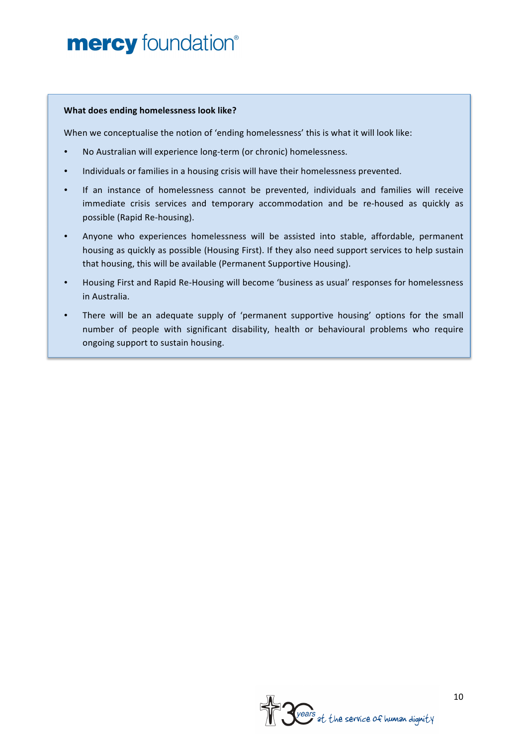#### **What does ending homelessness look like?**

When we conceptualise the notion of 'ending homelessness' this is what it will look like:

- No Australian will experience long-term (or chronic) homelessness.
- Individuals or families in a housing crisis will have their homelessness prevented.
- If an instance of homelessness cannot be prevented, individuals and families will receive immediate crisis services and temporary accommodation and be re-housed as quickly as possible (Rapid Re-housing).
- Anyone who experiences homelessness will be assisted into stable, affordable, permanent housing as quickly as possible (Housing First). If they also need support services to help sustain that housing, this will be available (Permanent Supportive Housing).
- Housing First and Rapid Re-Housing will become 'business as usual' responses for homelessness in Australia.
- There will be an adequate supply of 'permanent supportive housing' options for the small number of people with significant disability, health or behavioural problems who require ongoing support to sustain housing.